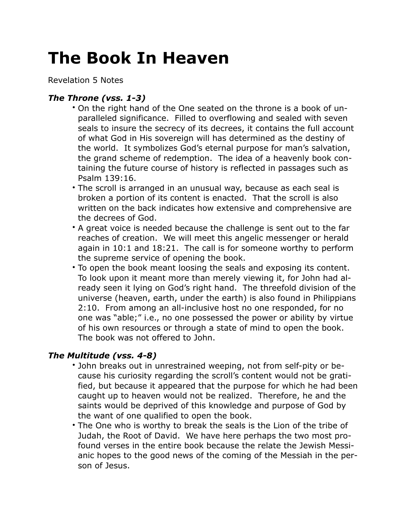## **The Book In Heaven**

Revelation 5 Notes

## *The Throne (vss. 1-3)*

- On the right hand of the One seated on the throne is a book of unparalleled significance. Filled to overflowing and sealed with seven seals to insure the secrecy of its decrees, it contains the full account of what God in His sovereign will has determined as the destiny of the world. It symbolizes God's eternal purpose for man's salvation, the grand scheme of redemption. The idea of a heavenly book containing the future course of history is reflected in passages such as Psalm 139:16.
- The scroll is arranged in an unusual way, because as each seal is broken a portion of its content is enacted. That the scroll is also written on the back indicates how extensive and comprehensive are the decrees of God.
- A great voice is needed because the challenge is sent out to the far reaches of creation. We will meet this angelic messenger or herald again in 10:1 and 18:21. The call is for someone worthy to perform the supreme service of opening the book.
- To open the book meant loosing the seals and exposing its content. To look upon it meant more than merely viewing it, for John had already seen it lying on God's right hand. The threefold division of the universe (heaven, earth, under the earth) is also found in Philippians 2:10. From among an all-inclusive host no one responded, for no one was "able;" i.e., no one possessed the power or ability by virtue of his own resources or through a state of mind to open the book. The book was not offered to John.

## *The Multitude (vss. 4-8)*

- John breaks out in unrestrained weeping, not from self-pity or because his curiosity regarding the scroll's content would not be gratified, but because it appeared that the purpose for which he had been caught up to heaven would not be realized. Therefore, he and the saints would be deprived of this knowledge and purpose of God by the want of one qualified to open the book.
- The One who is worthy to break the seals is the Lion of the tribe of Judah, the Root of David. We have here perhaps the two most profound verses in the entire book because the relate the Jewish Messianic hopes to the good news of the coming of the Messiah in the person of Jesus.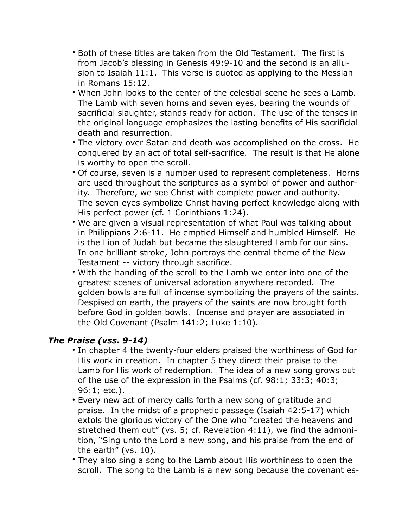- Both of these titles are taken from the Old Testament. The first is from Jacob's blessing in Genesis 49:9-10 and the second is an allusion to Isaiah 11:1. This verse is quoted as applying to the Messiah in Romans 15:12.
- When John looks to the center of the celestial scene he sees a Lamb. The Lamb with seven horns and seven eyes, bearing the wounds of sacrificial slaughter, stands ready for action. The use of the tenses in the original language emphasizes the lasting benefits of His sacrificial death and resurrection.
- The victory over Satan and death was accomplished on the cross. He conquered by an act of total self-sacrifice. The result is that He alone is worthy to open the scroll.
- Of course, seven is a number used to represent completeness. Horns are used throughout the scriptures as a symbol of power and authority. Therefore, we see Christ with complete power and authority. The seven eyes symbolize Christ having perfect knowledge along with His perfect power (cf. 1 Corinthians 1:24).
- We are given a visual representation of what Paul was talking about in Philippians 2:6-11. He emptied Himself and humbled Himself. He is the Lion of Judah but became the slaughtered Lamb for our sins. In one brilliant stroke, John portrays the central theme of the New Testament -- victory through sacrifice.
- With the handing of the scroll to the Lamb we enter into one of the greatest scenes of universal adoration anywhere recorded. The golden bowls are full of incense symbolizing the prayers of the saints. Despised on earth, the prayers of the saints are now brought forth before God in golden bowls. Incense and prayer are associated in the Old Covenant (Psalm 141:2; Luke 1:10).

## *The Praise (vss. 9-14)*

- In chapter 4 the twenty-four elders praised the worthiness of God for His work in creation. In chapter 5 they direct their praise to the Lamb for His work of redemption. The idea of a new song grows out of the use of the expression in the Psalms (cf. 98:1; 33:3; 40:3; 96:1; etc.).
- Every new act of mercy calls forth a new song of gratitude and praise. In the midst of a prophetic passage (Isaiah 42:5-17) which extols the glorious victory of the One who "created the heavens and stretched them out" (vs. 5; cf. Revelation 4:11), we find the admonition, "Sing unto the Lord a new song, and his praise from the end of the earth" (vs. 10).
- They also sing a song to the Lamb about His worthiness to open the scroll. The song to the Lamb is a new song because the covenant es-